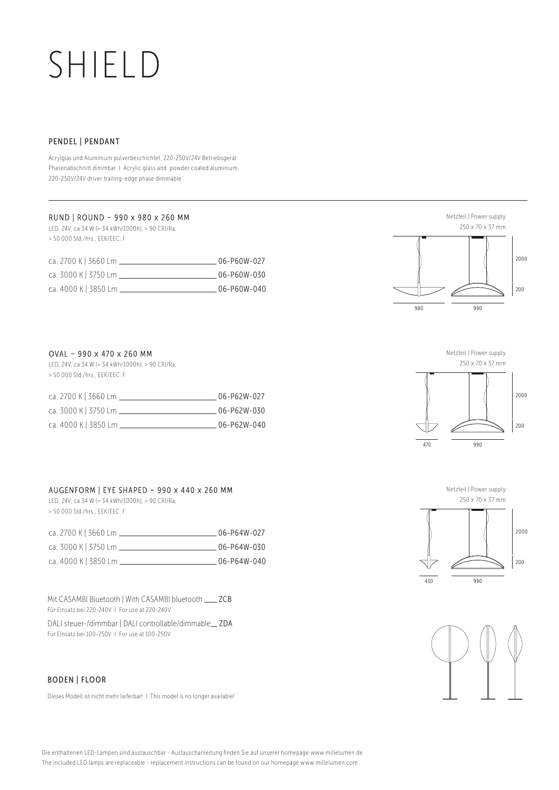# SHIELD

#### PENDEL | PENDANT

Acrylglas und Aluminium pulverbeschichtet, 220-250V/24V Betriebsgerät Phasenabschnitt dimmbar I Acrylic glass and powder coated aluminium, 220-250V/24V driver trailing-edge phase dimmable

## RUND | ROUND - 990 x 980 x 260 MM

LED, 24V, ca.34 W (= 34 kWh/1000h), > 90 CRI/Ra, > 50.000 Std./hrs., EEK/EEC: F

| ca. 2700 K 3660 Lm    | 06-P60W-027  |
|-----------------------|--------------|
| ca. 3000 K   3750 Lm. | 06-P60W-030  |
| ca. 4000 K   3850 Lm. | .06-P60W-040 |







 $\frac{1}{430}$ 





### OVAL - 990 x 470 x 260 MM

LED, 24V, ca.34 W (= 34 kWh/1000h), > 90 CRI/Ra, > 50.000 Std./hrs., EEK/EEC: F

| ca. 2700 K 3660 Lm.  | 06-P62W-027 |
|----------------------|-------------|
| ca. 3000 K   3750 Lm | 06-P62W-030 |
| ca. 4000 K   3850 Lm | 06-P62W-040 |

## AUGENFORM | EYE SHAPED - 990 x 440 x 260 MM LED, 24V, ca.34 W (= 34 kWh/1000h), > 90 CRI/Ra,

> 50.000 Std./hrs., EEK/EEC: F

| ca. 2700 K   3660 Lm. | 06-P64W-027 |
|-----------------------|-------------|
| ca. 3000 K   3750 Lm  | 06-P64W-030 |
| ca. 4000 K   3850 Lm  | 06-P64W-040 |

Mit CASAMBI Bluetooth | With CASAMBI bluetooth \_\_\_\_ ZCB Für Einsatz bei 220-240V I For use at 220-240V

DALI steuer-/dimmbar | DALI controllable/dimmable ZDA Für Einsatz bei 100-250V I For use at 100-250V

#### BODEN | FLOOR

Dieses Modell ist nicht mehr lieferbar! I This model is no longer available!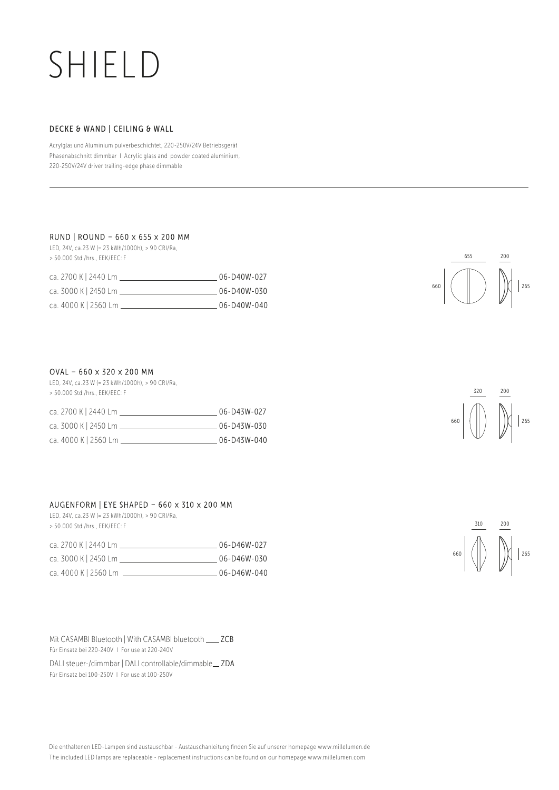## SHIELD

### DECKE & WAND | CEILING & WALL

Acrylglas und Aluminium pulverbeschichtet, 220-250V/24V Betriebsgerät Phasenabschnitt dimmbar I Acrylic glass and powder coated aluminium, 220-250V/24V driver trailing-edge phase dimmable

#### RUND | ROUND - 660 x 655 x 200 MM

LED, 24V, ca.23 W (= 23 kWh/1000h), > 90 CRI/Ra, > 50.000 Std./hrs., EEK/EEC: F

| ca. 2700 K   2440 Lm | 06-D40W-027 |
|----------------------|-------------|
| ca. 3000 K   2450 Lm | 06-D40W-030 |
| ca. 4000 K   2560 Lm | 06-D40W-040 |



#### $OVAL$  - 660 x 320 x 200 MM

LED, 24V, ca.23 W (= 23 kWh/1000h), > 90 CRI/Ra, > 50.000 Std./hrs., EEK/EEC: F

| ca. 2700 K   2440 Lm. | 06-D43W-027  |
|-----------------------|--------------|
| ca. 3000 K   2450 Lm. | 06-D43W-030  |
| ca. 4000 K   2560 Lm. | .06-D43W-040 |

#### AUGENFORM | EYE SHAPED - 660 x 310 x 200 MM

LED, 24V, ca.23 W (= 23 kWh/1000h), > 90 CRI/Ra, > 50.000 Std./hrs., EEK/EEC: F

| ca. 2700 K   2440 Lm. | 06-D46W-027 |
|-----------------------|-------------|
| ca. 3000 K   2450 Lm  | 06-D46W-030 |

| ca. 4000 K   2560 Lm |  | 06-D46W-040 |  |  |
|----------------------|--|-------------|--|--|
|                      |  |             |  |  |

Mit CASAMBI Bluetooth | With CASAMBI bluetooth \_\_\_\_ ZCB Für Einsatz bei 220-240V I For use at 220-240V

DALI steuer-/dimmbar | DALI controllable/dimmable\_ZDA Für Einsatz bei 100-250V I For use at 100-250V



660 265

320 200